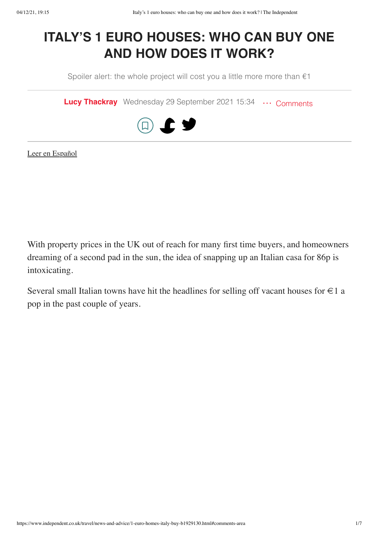# **ITALY'S 1 EURO HOUSES: WHO CAN BUY ONE AND HOW DOES IT WORK?**

Spoiler alert: the whole project will cost you a little more more than  $€1$ 

**[Lucy Thackray](https://www.independent.co.uk/author/lucy-thackray)** Wednesday 29 September 2021 15:34 ... [Comments](https://www.independent.co.uk/travel/news-and-advice/1-euro-homes-italy-buy-b1929130.html#comments-area)



[Leer en Español](https://www.independentespanol.com/noticias/mundo/italia-casas-euro-comprar-proceso-b1934285.html)

With property prices in the UK out of reach for many first time buyers, and homeowners dreaming of a second pad in the sun, the idea of snapping up an Italian casa for 86p is intoxicating.

Several small Italian towns have hit the headlines for selling off vacant houses for  $\in$  1 a pop in the past couple of years.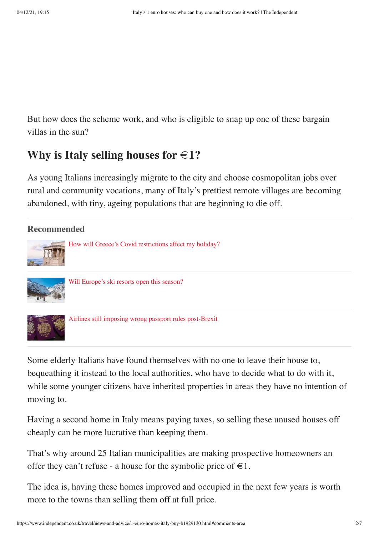But how does the scheme work, and who is eligible to snap up one of these bargain villas in the sun?

### **Why** is Italy selling houses for  $\in$ 1?

As young Italians increasingly migrate to the city and choose cosmopolitan jobs over rural and community vocations, many of Italy's prettiest remote villages are becoming abandoned, with tiny, ageing populations that are beginning to die off.



Some elderly Italians have found themselves with no one to leave their house to, bequeathing it instead to the local authorities, who have to decide what to do with it, while some younger citizens have inherited properties in areas they have no intention of moving to.

Having a second home in Italy means paying taxes, so selling these unused houses off cheaply can be more lucrative than keeping them.

That's why around 25 Italian municipalities are making prospective homeowners an offer they can't refuse - a house for the symbolic price of  $\in$ 1.

The idea is, having these homes improved and occupied in the next few years is worth more to the towns than selling them off at full price.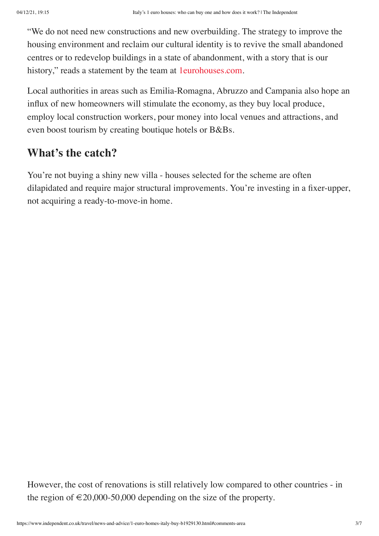"We do not need new constructions and new overbuilding. The strategy to improve the housing environment and reclaim our cultural identity is to revive the small abandoned centres or to redevelop buildings in a state of abandonment, with a story that is our history," reads a statement by the team at [1eurohouses.com](https://1eurohouses.com/).

Local authorities in areas such as Emilia-Romagna, Abruzzo and Campania also hope an influx of new homeowners will stimulate the economy, as they buy local produce, employ local construction workers, pour money into local venues and attractions, and even boost tourism by creating boutique hotels or B&Bs.

## **What's the catch?**

You're not buying a shiny new villa - houses selected for the scheme are often dilapidated and require major structural improvements. You're investing in a fixer-upper, not acquiring a ready-to-move-in home.

However, the cost of renovations is still relatively low compared to other countries - in the region of  $\epsilon$ 20,000-50,000 depending on the size of the property.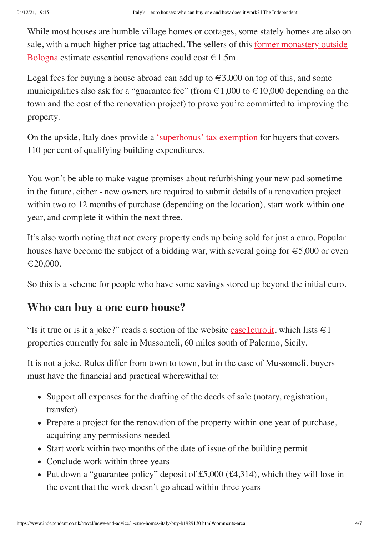While most houses are humble village homes or cottages, some stately homes are also on [sale, with a much higher price tag attached. The sellers of this](https://www.propertyguides.com/italy/news/italian-property-one-euro/) former monastery outside Bologna estimate essential renovations could cost  $\in$  1.5m.

Legal fees for buying a house abroad can add up to  $\epsilon \in 3,000$  on top of this, and some municipalities also ask for a "guarantee fee" (from  $\epsilon 1,000$  to  $\epsilon 10,000$  depending on the town and the cost of the renovation project) to prove you're committed to improving the property.

On the upside, Italy does provide a ['superbonus' tax exemption](https://www.italy-uk-law.com/italian-news/superbonus-the-new-tax-credit-for-italian-property-improvements/) for buyers that covers 110 per cent of qualifying building expenditures.

You won't be able to make vague promises about refurbishing your new pad sometime in the future, either - new owners are required to submit details of a renovation project within two to 12 months of purchase (depending on the location), start work within one year, and complete it within the next three.

It's also worth noting that not every property ends up being sold for just a euro. Popular houses have become the subject of a bidding war, with several going for  $\epsilon$ 5,000 or even  $\epsilon$ 20,000.

So this is a scheme for people who have some savings stored up beyond the initial euro.

### **Who can buy a one euro house?**

"Is it true or is it a joke?" reads a section of the website [case1euro.it](http://v/), which lists  $\in$ 1 properties currently for sale in Mussomeli, 60 miles south of Palermo, Sicily.

It is not a joke. Rules differ from town to town, but in the case of Mussomeli, buyers must have the financial and practical wherewithal to:

- Support all expenses for the drafting of the deeds of sale (notary, registration, transfer)
- Prepare a project for the renovation of the property within one year of purchase, acquiring any permissions needed
- Start work within two months of the date of issue of the building permit
- Conclude work within three years
- Put down a "guarantee policy" deposit of £5,000 ( $\text{\pounds}4,314$ ), which they will lose in the event that the work doesn't go ahead within three years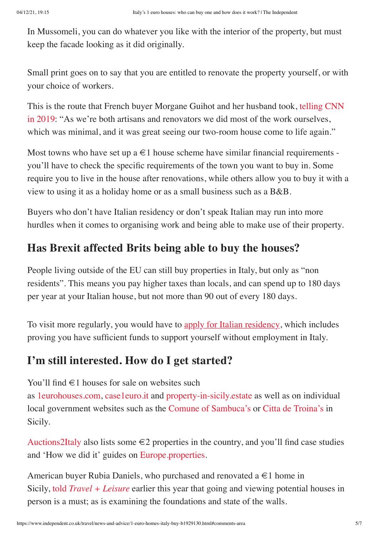In Mussomeli, you can do whatever you like with the interior of the property, but must keep the facade looking as it did originally.

Small print goes on to say that you are entitled to renovate the property yourself, or with your choice of workers.

This is the route that French buyer Morgane Guihot and her husband took, telling CNN [in 2019: "As we're both artisans and renovators we did most of the work ourselves,](https://edition.cnn.com/travel/article/italy-one-euro-home-buyers/index.html) which was minimal, and it was great seeing our two-room house come to life again."

Most towns who have set up a  $\in$  1 house scheme have similar financial requirements you'll have to check the specific requirements of the town you want to buy in. Some require you to live in the house after renovations, while others allow you to buy it with a view to using it as a holiday home or as a small business such as a B&B.

Buyers who don't have Italian residency or don't speak Italian may run into more hurdles when it comes to organising work and being able to make use of their property.

# **Has Brexit affected Brits being able to buy the houses?**

People living outside of the EU can still buy properties in Italy, but only as "non residents". This means you pay higher taxes than locals, and can spend up to 180 days per year at your Italian house, but not more than 90 out of every 180 days.

To visit more regularly, you would have to [apply for Italian residency](https://vistoperitalia.esteri.it/home/en), which includes proving you have sufficient funds to support yourself without employment in Italy.

# **I'm still interested. How do I get started?**

You'll find  $\in$  1 houses for sale on websites such

as [1eurohouses.com,](https://1eurohouses.com/) [case1euro.it](https://www.case1euro.it/) and [property-in-sicily.estate](https://www.property-in-sicily.estate/1-euro-houses-in-sicily/) as well as on individual local government websites such as the [Comune of Sambuca's](https://www.comune.sambucadisicilia.ag.it/) or [Citta de Troina's](http://www.housetroina.it/case-1-euro) in Sicily.

[Auctions2Italy](https://auctions2italy.com/) also lists some  $\epsilon$ 2 properties in the country, and you'll find case studies and 'How we did it' guides on [Europe.properties.](https://europe.properties/e1-houses-italy/)

American buyer Rubia Daniels, who purchased and renovated a  $\in$  1 home in Sicily, told *[Travel + Leisure](https://www.travelandleisure.com/travel-tips/buying-and-renovating-italy-one-euro-homes)* earlier this year that going and viewing potential houses in person is a must; as is examining the foundations and state of the walls.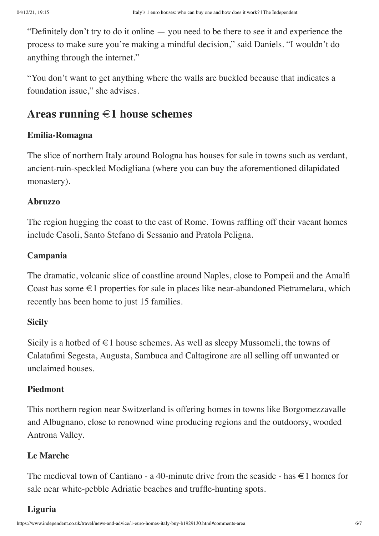"Definitely don't try to do it online — you need to be there to see it and experience the process to make sure you're making a mindful decision," said Daniels. "I wouldn't do anything through the internet."

"You don't want to get anything where the walls are buckled because that indicates a foundation issue," she advises.

### **Areas running €1 house schemes**

#### **Emilia-Romagna**

The slice of northern Italy around Bologna has houses for sale in towns such as verdant, ancient-ruin-speckled Modigliana (where you can buy the aforementioned dilapidated monastery).

#### **Abruzzo**

The region hugging the coast to the east of Rome. Towns raffling off their vacant homes include Casoli, Santo Stefano di Sessanio and Pratola Peligna.

#### **Campania**

The dramatic, volcanic slice of coastline around Naples, close to Pompeii and the Amalfi Coast has some  $\epsilon$ 1 properties for sale in places like near-abandoned Pietramelara, which recently has been home to just 15 families.

#### **Sicily**

Sicily is a hotbed of  $\in$ 1 house schemes. As well as sleepy Mussomeli, the towns of Calatafimi Segesta, Augusta, Sambuca and Caltagirone are all selling off unwanted or unclaimed houses.

#### **Piedmont**

This northern region near Switzerland is offering homes in towns like Borgomezzavalle and Albugnano, close to renowned wine producing regions and the outdoorsy, wooded Antrona Valley.

#### **Le Marche**

The medieval town of Cantiano - a 40-minute drive from the seaside - has  $\in$  1 homes for sale near white-pebble Adriatic beaches and truffle-hunting spots.

#### **Liguria**